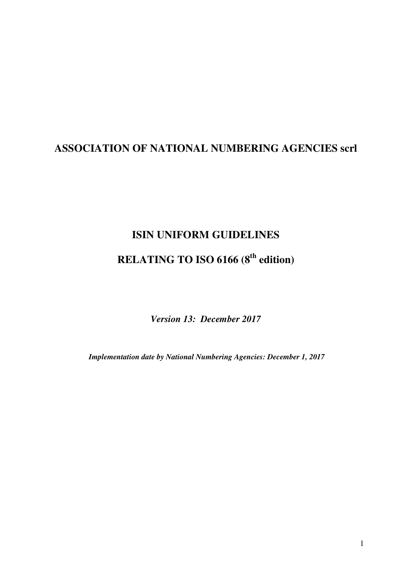## **ASSOCIATION OF NATIONAL NUMBERING AGENCIES scrl**

# **ISIN UNIFORM GUIDELINES RELATING TO ISO 6166 (8th edition)**

*Version 13: December 2017*

*Implementation date by National Numbering Agencies: December 1, 2017*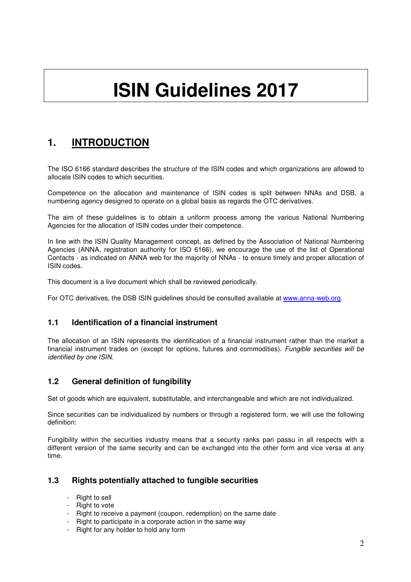# **ISIN Guidelines 2017**

## **1. INTRODUCTION**

The ISO 6166 standard describes the structure of the ISIN codes and which organizations are allowed to allocate ISIN codes to which securities.

Competence on the allocation and maintenance of ISIN codes is split between NNAs and DSB, a numbering agency designed to operate on a global basis as regards the OTC derivatives.

The aim of these guidelines is to obtain a uniform process among the various National Numbering Agencies for the allocation of ISIN codes under their competence.

In line with the ISIN Quality Management concept, as defined by the Association of National Numbering Agencies (ANNA, registration authority for ISO 6166), we encourage the use of the list of Operational Contacts - as indicated on ANNA web for the majority of NNAs - to ensure timely and proper allocation of ISIN codes.

This document is a live document which shall be reviewed periodically.

For OTC derivatives, the DSB ISIN guidelines should be consulted available at www.anna-web.org.

## **1.1 Identification of a financial instrument**

The allocation of an ISIN represents the identification of a financial instrument rather than the market a financial instrument trades on (except for options, futures and commodities). Fungible securities will be identified by one ISIN.

## **1.2 General definition of fungibility**

Set of goods which are equivalent, substitutable, and interchangeable and which are not individualized.

Since securities can be individualized by numbers or through a registered form, we will use the following definition:

Fungibility within the securities industry means that a security ranks pari passu in all respects with a different version of the same security and can be exchanged into the other form and vice versa at any time.

## **1.3 Rights potentially attached to fungible securities**

- Right to sell
- Right to vote
- Right to receive a payment (coupon, redemption) on the same date
- Right to participate in a corporate action in the same way
- Right for any holder to hold any form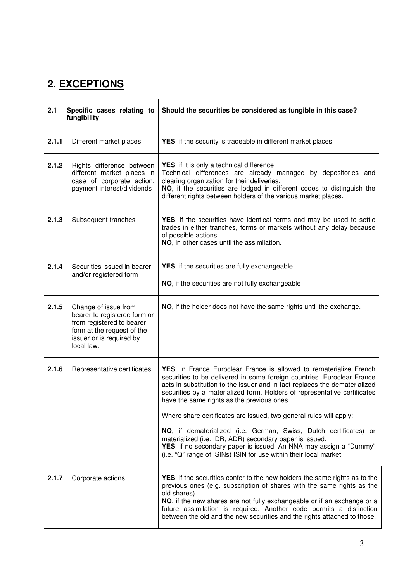# **2. EXCEPTIONS**

| 2.1<br>Specific cases relating to<br>fungibility |                                                                                                                                                           | Should the securities be considered as fungible in this case?                                                                                                                                                                                                                                                                                                                                                                                                                                                                                                                                                                                                                                         |  |
|--------------------------------------------------|-----------------------------------------------------------------------------------------------------------------------------------------------------------|-------------------------------------------------------------------------------------------------------------------------------------------------------------------------------------------------------------------------------------------------------------------------------------------------------------------------------------------------------------------------------------------------------------------------------------------------------------------------------------------------------------------------------------------------------------------------------------------------------------------------------------------------------------------------------------------------------|--|
| 2.1.1                                            | Different market places                                                                                                                                   | YES, if the security is tradeable in different market places.                                                                                                                                                                                                                                                                                                                                                                                                                                                                                                                                                                                                                                         |  |
| 2.1.2                                            | Rights difference between<br>different market places in<br>case of corporate action,<br>payment interest/dividends                                        | <b>YES</b> , if it is only a technical difference.<br>Technical differences are already managed by depositories and<br>clearing organization for their deliveries.<br>NO, if the securities are lodged in different codes to distinguish the<br>different rights between holders of the various market places.                                                                                                                                                                                                                                                                                                                                                                                        |  |
| 2.1.3                                            | Subsequent tranches                                                                                                                                       | YES, if the securities have identical terms and may be used to settle<br>trades in either tranches, forms or markets without any delay because<br>of possible actions.<br>NO, in other cases until the assimilation.                                                                                                                                                                                                                                                                                                                                                                                                                                                                                  |  |
| 2.1.4                                            | Securities issued in bearer<br>and/or registered form                                                                                                     | <b>YES</b> , if the securities are fully exchangeable<br>NO, if the securities are not fully exchangeable                                                                                                                                                                                                                                                                                                                                                                                                                                                                                                                                                                                             |  |
| 2.1.5                                            | Change of issue from<br>bearer to registered form or<br>from registered to bearer<br>form at the request of the<br>issuer or is required by<br>local law. | NO, if the holder does not have the same rights until the exchange.                                                                                                                                                                                                                                                                                                                                                                                                                                                                                                                                                                                                                                   |  |
| 2.1.6                                            | Representative certificates                                                                                                                               | YES, in France Euroclear France is allowed to rematerialize French<br>securities to be delivered in some foreign countries. Euroclear France<br>acts in substitution to the issuer and in fact replaces the dematerialized<br>securities by a materialized form. Holders of representative certificates<br>have the same rights as the previous ones.<br>Where share certificates are issued, two general rules will apply:<br>NO, if dematerialized (i.e. German, Swiss, Dutch certificates) or<br>materialized (i.e. IDR, ADR) secondary paper is issued.<br>YES, if no secondary paper is issued. An NNA may assign a "Dummy"<br>(i.e. "Q" range of ISINs) ISIN for use within their local market. |  |
| 2.1.7                                            | Corporate actions                                                                                                                                         | YES, if the securities confer to the new holders the same rights as to the<br>previous ones (e.g. subscription of shares with the same rights as the<br>old shares).<br>NO, if the new shares are not fully exchangeable or if an exchange or a<br>future assimilation is required. Another code permits a distinction<br>between the old and the new securities and the rights attached to those.                                                                                                                                                                                                                                                                                                    |  |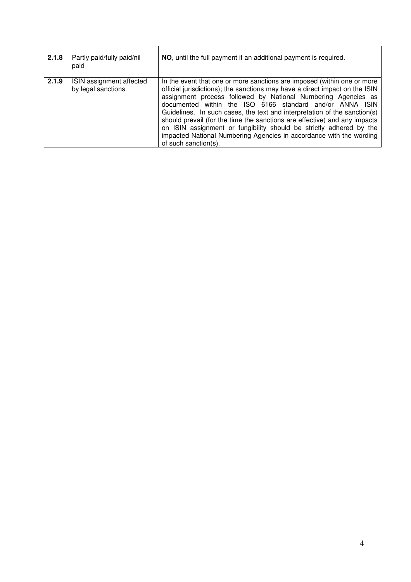| 2.1.8 | Partly paid/fully paid/nil<br>paid             | NO, until the full payment if an additional payment is required.                                                                                                                                                                                                                                                                                                                                                                                                                                                                                                                                                    |
|-------|------------------------------------------------|---------------------------------------------------------------------------------------------------------------------------------------------------------------------------------------------------------------------------------------------------------------------------------------------------------------------------------------------------------------------------------------------------------------------------------------------------------------------------------------------------------------------------------------------------------------------------------------------------------------------|
| 2.1.9 | ISIN assignment affected<br>by legal sanctions | In the event that one or more sanctions are imposed (within one or more<br>official jurisdictions); the sanctions may have a direct impact on the ISIN<br>assignment process followed by National Numbering Agencies as<br>documented within the ISO 6166 standard and/or ANNA ISIN<br>Guidelines. In such cases, the text and interpretation of the sanction(s)<br>should prevail (for the time the sanctions are effective) and any impacts<br>on ISIN assignment or fungibility should be strictly adhered by the<br>impacted National Numbering Agencies in accordance with the wording<br>of such sanction(s). |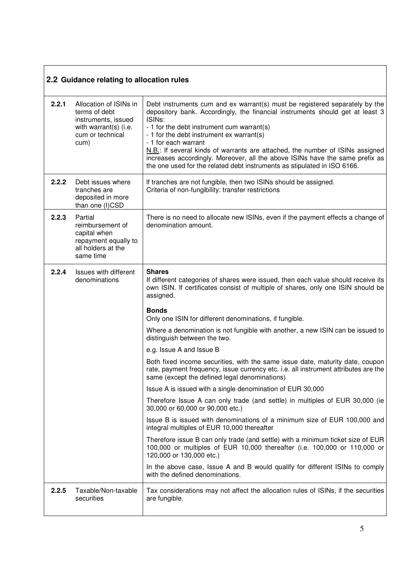|       | 2.2 Guidance relating to allocation rules                                                                           |                                                                                                                                                                                                                                                                                                                                                                                                                                                                                                                                                     |  |
|-------|---------------------------------------------------------------------------------------------------------------------|-----------------------------------------------------------------------------------------------------------------------------------------------------------------------------------------------------------------------------------------------------------------------------------------------------------------------------------------------------------------------------------------------------------------------------------------------------------------------------------------------------------------------------------------------------|--|
| 2.2.1 | Allocation of ISINs in<br>terms of debt<br>instruments, issued<br>with warrant(s) (i.e.<br>cum or technical<br>cum) | Debt instruments cum and ex warrant(s) must be registered separately by the<br>depository bank. Accordingly, the financial instruments should get at least 3<br>ISIN <sub>s</sub> :<br>- 1 for the debt instrument cum warrant(s)<br>- 1 for the debt instrument ex warrant(s)<br>- 1 for each warrant<br>N.B.: If several kinds of warrants are attached, the number of ISINs assigned<br>increases accordingly. Moreover, all the above ISINs have the same prefix as<br>the one used for the related debt instruments as stipulated in ISO 6166. |  |
| 2.2.2 | Debt issues where<br>tranches are<br>deposited in more<br>than one (I)CSD                                           | If tranches are not fungible, then two ISINs should be assigned.<br>Criteria of non-fungibility: transfer restrictions                                                                                                                                                                                                                                                                                                                                                                                                                              |  |
| 2.2.3 | Partial<br>reimbursement of<br>capital when<br>repayment equally to<br>all holders at the<br>same time              | There is no need to allocate new ISINs, even if the payment effects a change of<br>denomination amount.                                                                                                                                                                                                                                                                                                                                                                                                                                             |  |
| 2.2.4 | Issues with different<br>denominations                                                                              | <b>Shares</b><br>If different categories of shares were issued, then each value should receive its<br>own ISIN. If certificates consist of multiple of shares, only one ISIN should be<br>assigned.                                                                                                                                                                                                                                                                                                                                                 |  |
|       |                                                                                                                     | <b>Bonds</b><br>Only one ISIN for different denominations, if fungible.                                                                                                                                                                                                                                                                                                                                                                                                                                                                             |  |
|       |                                                                                                                     | Where a denomination is not fungible with another, a new ISIN can be issued to<br>distinguish between the two.                                                                                                                                                                                                                                                                                                                                                                                                                                      |  |
|       |                                                                                                                     | e.g. Issue A and Issue B                                                                                                                                                                                                                                                                                                                                                                                                                                                                                                                            |  |
|       |                                                                                                                     | Both fixed income securities, with the same issue date, maturity date, coupon<br>rate, payment frequency, issue currency etc. i.e. all instrument attributes are the<br>same (except the defined legal denominations)                                                                                                                                                                                                                                                                                                                               |  |
|       |                                                                                                                     | Issue A is issued with a single denomination of EUR 30,000                                                                                                                                                                                                                                                                                                                                                                                                                                                                                          |  |
|       |                                                                                                                     | Therefore Issue A can only trade (and settle) in multiples of EUR 30,000 (ie<br>30,000 or 60,000 or 90,000 etc.)                                                                                                                                                                                                                                                                                                                                                                                                                                    |  |
|       |                                                                                                                     | Issue B is issued with denominations of a minimum size of EUR 100,000 and<br>integral multiples of EUR 10,000 thereafter                                                                                                                                                                                                                                                                                                                                                                                                                            |  |
|       |                                                                                                                     | Therefore issue B can only trade (and settle) with a minimum ticket size of EUR<br>100,000 or multiples of EUR 10,000 thereafter (i.e. 100,000 or 110,000 or<br>120,000 or 130,000 etc.)                                                                                                                                                                                                                                                                                                                                                            |  |
|       |                                                                                                                     | In the above case, Issue A and B would qualify for different ISINs to comply<br>with the defined denominations.                                                                                                                                                                                                                                                                                                                                                                                                                                     |  |
| 2.2.5 | Taxable/Non-taxable<br>securities                                                                                   | Tax considerations may not affect the allocation rules of ISINs, if the securities<br>are fungible.                                                                                                                                                                                                                                                                                                                                                                                                                                                 |  |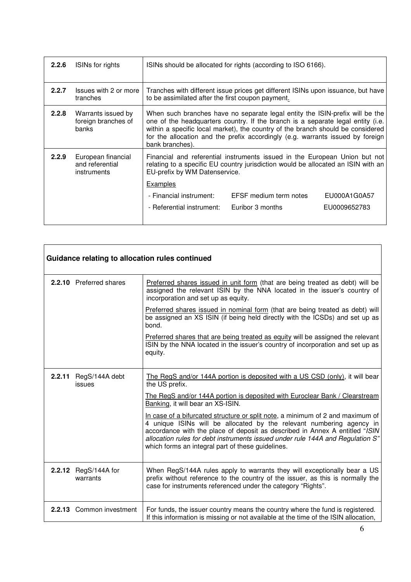| 2.2.6 | ISINs for rights                                     | ISINs should be allocated for rights (according to ISO 6166).                                                                                                                                                                                                                                                                                           |                        |              |
|-------|------------------------------------------------------|---------------------------------------------------------------------------------------------------------------------------------------------------------------------------------------------------------------------------------------------------------------------------------------------------------------------------------------------------------|------------------------|--------------|
| 2.2.7 | Issues with 2 or more<br>tranches                    | Tranches with different issue prices get different ISINs upon issuance, but have<br>to be assimilated after the first coupon payment.                                                                                                                                                                                                                   |                        |              |
| 2.2.8 | Warrants issued by<br>foreign branches of<br>banks   | When such branches have no separate legal entity the ISIN-prefix will be the<br>one of the headquarters country. If the branch is a separate legal entity (i.e.<br>within a specific local market), the country of the branch should be considered<br>for the allocation and the prefix accordingly (e.g. warrants issued by foreign<br>bank branches). |                        |              |
| 2.2.9 | European financial<br>and referential<br>instruments | Financial and referential instruments issued in the European Union but not<br>relating to a specific EU country jurisdiction would be allocated an ISIN with an<br>EU-prefix by WM Datenservice.                                                                                                                                                        |                        |              |
|       |                                                      | <b>Examples</b><br>- Financial instrument:                                                                                                                                                                                                                                                                                                              | EFSF medium term notes | EU000A1G0A57 |
|       |                                                      |                                                                                                                                                                                                                                                                                                                                                         |                        |              |
|       |                                                      | - Referential instrument:                                                                                                                                                                                                                                                                                                                               | Euribor 3 months       | EU0009652783 |

|        | Guidance relating to allocation rules continued |                                                                                                                                                                                                                                                                                                                                                                              |  |
|--------|-------------------------------------------------|------------------------------------------------------------------------------------------------------------------------------------------------------------------------------------------------------------------------------------------------------------------------------------------------------------------------------------------------------------------------------|--|
|        | 2.2.10 Preferred shares                         | Preferred shares issued in unit form (that are being treated as debt) will be<br>assigned the relevant ISIN by the NNA located in the issuer's country of<br>incorporation and set up as equity.                                                                                                                                                                             |  |
|        |                                                 | Preferred shares issued in nominal form (that are being treated as debt) will<br>be assigned an XS ISIN (if being held directly with the ICSDs) and set up as<br>bond.                                                                                                                                                                                                       |  |
|        |                                                 | Preferred shares that are being treated as equity will be assigned the relevant<br>ISIN by the NNA located in the issuer's country of incorporation and set up as<br>equity.                                                                                                                                                                                                 |  |
| 2.2.11 | RegS/144A debt<br>issues                        | The RegS and/or 144A portion is deposited with a US CSD (only), it will bear<br>the US prefix.                                                                                                                                                                                                                                                                               |  |
|        |                                                 | The RegS and/or 144A portion is deposited with Euroclear Bank / Clearstream<br>Banking, it will bear an XS-ISIN.                                                                                                                                                                                                                                                             |  |
|        |                                                 | In case of a bifurcated structure or split note, a minimum of 2 and maximum of<br>4 unique ISINs will be allocated by the relevant numbering agency in<br>accordance with the place of deposit as described in Annex A entitled "ISIN<br>allocation rules for debt instruments issued under rule 144A and Regulation S"<br>which forms an integral part of these guidelines. |  |
|        | 2.2.12 RegS/144A for<br>warrants                | When RegS/144A rules apply to warrants they will exceptionally bear a US<br>prefix without reference to the country of the issuer, as this is normally the<br>case for instruments referenced under the category "Rights".                                                                                                                                                   |  |
|        | 2.2.13 Common investment                        | For funds, the issuer country means the country where the fund is registered.<br>If this information is missing or not available at the time of the ISIN allocation,                                                                                                                                                                                                         |  |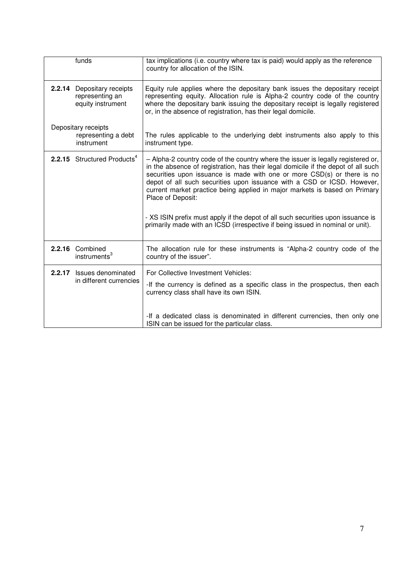|        | funds                                                       | tax implications (i.e. country where tax is paid) would apply as the reference<br>country for allocation of the ISIN.                                                                                                                                                                                                                                                                                                                                                                                                                                                                                |
|--------|-------------------------------------------------------------|------------------------------------------------------------------------------------------------------------------------------------------------------------------------------------------------------------------------------------------------------------------------------------------------------------------------------------------------------------------------------------------------------------------------------------------------------------------------------------------------------------------------------------------------------------------------------------------------------|
| 2.2.14 | Depositary receipts<br>representing an<br>equity instrument | Equity rule applies where the depositary bank issues the depositary receipt<br>representing equity. Allocation rule is Alpha-2 country code of the country<br>where the depositary bank issuing the depositary receipt is legally registered<br>or, in the absence of registration, has their legal domicile.                                                                                                                                                                                                                                                                                        |
|        | Depositary receipts<br>representing a debt<br>instrument    | The rules applicable to the underlying debt instruments also apply to this<br>instrument type.                                                                                                                                                                                                                                                                                                                                                                                                                                                                                                       |
|        | 2.2.15 Structured Products <sup>4</sup>                     | - Alpha-2 country code of the country where the issuer is legally registered or,<br>in the absence of registration, has their legal domicile if the depot of all such<br>securities upon issuance is made with one or more CSD(s) or there is no<br>depot of all such securities upon issuance with a CSD or ICSD. However,<br>current market practice being applied in major markets is based on Primary<br>Place of Deposit:<br>- XS ISIN prefix must apply if the depot of all such securities upon issuance is<br>primarily made with an ICSD (irrespective if being issued in nominal or unit). |
| 2.2.16 | Combined<br>instruments <sup>3</sup>                        | The allocation rule for these instruments is "Alpha-2 country code of the<br>country of the issuer".                                                                                                                                                                                                                                                                                                                                                                                                                                                                                                 |
| 2.2.17 | Issues denominated<br>in different currencies               | For Collective Investment Vehicles:<br>-If the currency is defined as a specific class in the prospectus, then each<br>currency class shall have its own ISIN.                                                                                                                                                                                                                                                                                                                                                                                                                                       |
|        |                                                             | -If a dedicated class is denominated in different currencies, then only one<br>ISIN can be issued for the particular class.                                                                                                                                                                                                                                                                                                                                                                                                                                                                          |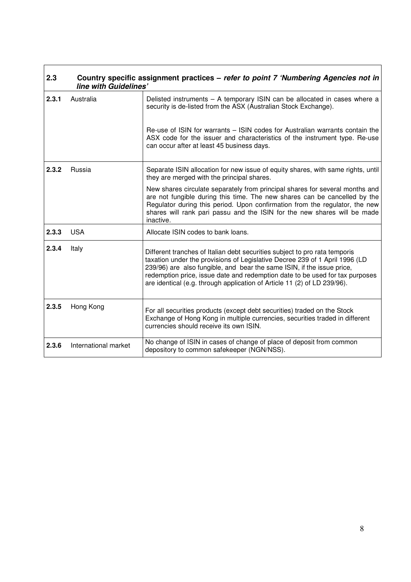| 2.3   | line with Guidelines' | Country specific assignment practices – refer to point 7 'Numbering Agencies not in                                                                                                                                                                                                                                                                                                             |
|-------|-----------------------|-------------------------------------------------------------------------------------------------------------------------------------------------------------------------------------------------------------------------------------------------------------------------------------------------------------------------------------------------------------------------------------------------|
| 2.3.1 | Australia             | Delisted instruments - A temporary ISIN can be allocated in cases where a<br>security is de-listed from the ASX (Australian Stock Exchange).                                                                                                                                                                                                                                                    |
|       |                       | Re-use of ISIN for warrants – ISIN codes for Australian warrants contain the<br>ASX code for the issuer and characteristics of the instrument type. Re-use<br>can occur after at least 45 business days.                                                                                                                                                                                        |
| 2.3.2 | Russia                | Separate ISIN allocation for new issue of equity shares, with same rights, until<br>they are merged with the principal shares.                                                                                                                                                                                                                                                                  |
|       |                       | New shares circulate separately from principal shares for several months and<br>are not fungible during this time. The new shares can be cancelled by the<br>Regulator during this period. Upon confirmation from the regulator, the new<br>shares will rank pari passu and the ISIN for the new shares will be made<br>inactive.                                                               |
| 2.3.3 | <b>USA</b>            | Allocate ISIN codes to bank loans.                                                                                                                                                                                                                                                                                                                                                              |
| 2.3.4 | Italy                 | Different tranches of Italian debt securities subject to pro rata temporis<br>taxation under the provisions of Legislative Decree 239 of 1 April 1996 (LD<br>239/96) are also fungible, and bear the same ISIN, if the issue price,<br>redemption price, issue date and redemption date to be used for tax purposes<br>are identical (e.g. through application of Article 11 (2) of LD 239/96). |
| 2.3.5 | Hong Kong             | For all securities products (except debt securities) traded on the Stock<br>Exchange of Hong Kong in multiple currencies, securities traded in different<br>currencies should receive its own ISIN.                                                                                                                                                                                             |
| 2.3.6 | International market  | No change of ISIN in cases of change of place of deposit from common<br>depository to common safekeeper (NGN/NSS).                                                                                                                                                                                                                                                                              |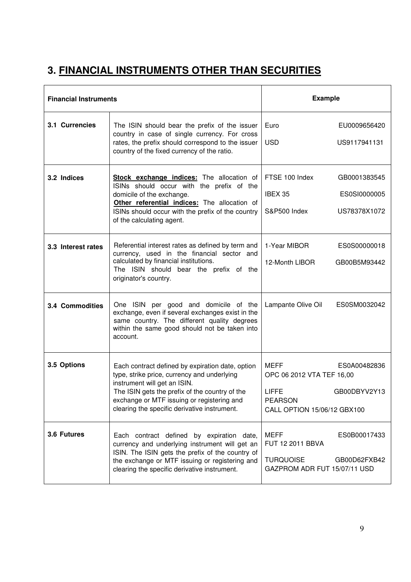# **3. FINANCIAL INSTRUMENTS OTHER THAN SECURITIES**

| <b>Financial Instruments</b> |                                                                                                                                                                                                                                                                                 | <b>Example</b>                                                                                                                     |  |
|------------------------------|---------------------------------------------------------------------------------------------------------------------------------------------------------------------------------------------------------------------------------------------------------------------------------|------------------------------------------------------------------------------------------------------------------------------------|--|
| 3.1 Currencies               | The ISIN should bear the prefix of the issuer<br>country in case of single currency. For cross<br>rates, the prefix should correspond to the issuer<br>country of the fixed currency of the ratio.                                                                              | Euro<br>EU0009656420<br><b>USD</b><br>US9117941131                                                                                 |  |
| 3.2 Indices                  | <b>Stock exchange indices:</b> The allocation of<br>ISINs should occur with the prefix of the<br>domicile of the exchange.<br>Other referential indices: The allocation of<br>ISINs should occur with the prefix of the country<br>of the calculating agent.                    | FTSE 100 Index<br>GB0001383545<br>IBEX 35<br>ES0SI0000005<br>S&P500 Index<br>US78378X1072                                          |  |
| 3.3 Interest rates           | Referential interest rates as defined by term and<br>currency, used in the financial sector and<br>calculated by financial institutions.<br>The ISIN should bear the prefix of the<br>originator's country.                                                                     | 1-Year MIBOR<br>ES0S00000018<br>12-Month LIBOR<br>GB00B5M93442                                                                     |  |
| <b>3.4 Commodities</b>       | One ISIN per good and domicile of the<br>exchange, even if several exchanges exist in the<br>same country. The different quality degrees<br>within the same good should not be taken into<br>account.                                                                           | Lampante Olive Oil<br>ES0SM0032042                                                                                                 |  |
| 3.5 Options                  | Each contract defined by expiration date, option<br>type, strike price, currency and underlying<br>instrument will get an ISIN.<br>The ISIN gets the prefix of the country of the<br>exchange or MTF issuing or registering and<br>clearing the specific derivative instrument. | MEFF<br>ES0A00482836<br>OPC 06 2012 VTA TEF 16,00<br><b>LIFFE</b><br>GB00DBYV2Y13<br><b>PEARSON</b><br>CALL OPTION 15/06/12 GBX100 |  |
| 3.6 Futures                  | Each contract defined by expiration date,<br>currency and underlying instrument will get an<br>ISIN. The ISIN gets the prefix of the country of<br>the exchange or MTF issuing or registering and<br>clearing the specific derivative instrument.                               | <b>MEFF</b><br>ES0B00017433<br>FUT 12 2011 BBVA<br><b>TURQUOISE</b><br>GB00D62FXB42<br>GAZPROM ADR FUT 15/07/11 USD                |  |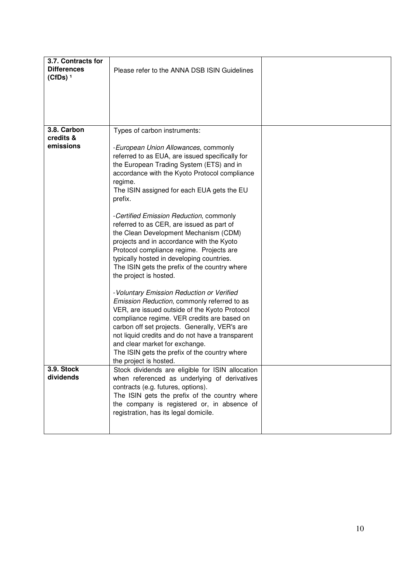| 3.7. Contracts for<br><b>Differences</b><br>$(CfDs)$ <sup>1</sup> | Please refer to the ANNA DSB ISIN Guidelines                                                                                                                                                                                                                                                                                                                                                                |  |
|-------------------------------------------------------------------|-------------------------------------------------------------------------------------------------------------------------------------------------------------------------------------------------------------------------------------------------------------------------------------------------------------------------------------------------------------------------------------------------------------|--|
|                                                                   |                                                                                                                                                                                                                                                                                                                                                                                                             |  |
| 3.8. Carbon<br>credits &                                          | Types of carbon instruments:                                                                                                                                                                                                                                                                                                                                                                                |  |
| emissions                                                         | - European Union Allowances, commonly<br>referred to as EUA, are issued specifically for<br>the European Trading System (ETS) and in<br>accordance with the Kyoto Protocol compliance<br>regime.<br>The ISIN assigned for each EUA gets the EU<br>prefix.                                                                                                                                                   |  |
|                                                                   | -Certified Emission Reduction, commonly<br>referred to as CER, are issued as part of<br>the Clean Development Mechanism (CDM)<br>projects and in accordance with the Kyoto<br>Protocol compliance regime. Projects are<br>typically hosted in developing countries.<br>The ISIN gets the prefix of the country where<br>the project is hosted.                                                              |  |
|                                                                   | - Voluntary Emission Reduction or Verified<br>Emission Reduction, commonly referred to as<br>VER, are issued outside of the Kyoto Protocol<br>compliance regime. VER credits are based on<br>carbon off set projects. Generally, VER's are<br>not liquid credits and do not have a transparent<br>and clear market for exchange.<br>The ISIN gets the prefix of the country where<br>the project is hosted. |  |
| 3.9. Stock<br>dividends                                           | Stock dividends are eligible for ISIN allocation<br>when referenced as underlying of derivatives<br>contracts (e.g. futures, options).<br>The ISIN gets the prefix of the country where<br>the company is registered or, in absence of<br>registration, has its legal domicile.                                                                                                                             |  |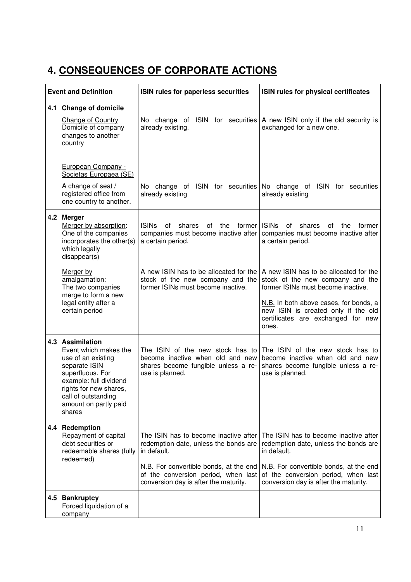# **4. CONSEQUENCES OF CORPORATE ACTIONS**

| <b>Event and Definition</b> |                                                                                                                                                                                                                    | ISIN rules for paperless securities                                                                                                                                                                                     | ISIN rules for physical certificates                                                                                                                                                                                                             |
|-----------------------------|--------------------------------------------------------------------------------------------------------------------------------------------------------------------------------------------------------------------|-------------------------------------------------------------------------------------------------------------------------------------------------------------------------------------------------------------------------|--------------------------------------------------------------------------------------------------------------------------------------------------------------------------------------------------------------------------------------------------|
|                             | 4.1 Change of domicile<br><b>Change of Country</b><br>Domicile of company<br>changes to another<br>country                                                                                                         | already existing.                                                                                                                                                                                                       | No change of ISIN for securities $ A $ new ISIN only if the old security is<br>exchanged for a new one.                                                                                                                                          |
|                             | European Company -<br>Societas Europaea (SE)<br>A change of seat /<br>registered office from<br>one country to another.                                                                                            | already existing                                                                                                                                                                                                        | No change of ISIN for securities No change of ISIN for securities<br>already existing                                                                                                                                                            |
| 4.2                         | <b>Merger</b><br>Merger by absorption:<br>One of the companies<br>incorporates the other(s)<br>which legally<br>disappear(s)                                                                                       | <b>ISINs</b><br>shares<br>former I<br>of<br>οf<br>the<br>companies must become inactive after<br>a certain period.                                                                                                      | <b>ISINs</b><br>0f<br>shares<br>the<br>οf<br>former<br>companies must become inactive after<br>a certain period.                                                                                                                                 |
|                             | Merger by<br>amalgamation:<br>The two companies<br>merge to form a new<br>legal entity after a<br>certain period                                                                                                   | A new ISIN has to be allocated for the<br>stock of the new company and the<br>former ISINs must become inactive.                                                                                                        | A new ISIN has to be allocated for the<br>stock of the new company and the<br>former ISINs must become inactive.<br>N.B. In both above cases, for bonds, a<br>new ISIN is created only if the old<br>certificates are exchanged for new<br>ones. |
|                             | 4.3 Assimilation<br>Event which makes the<br>use of an existing<br>separate ISIN<br>superfluous. For<br>example: full dividend<br>rights for new shares,<br>call of outstanding<br>amount on partly paid<br>shares | The ISIN of the new stock has to<br>become inactive when old and new<br>shares become fungible unless a re-<br>use is planned.                                                                                          | The ISIN of the new stock has to<br>become inactive when old and new<br>shares become fungible unless a re-<br>use is planned.                                                                                                                   |
|                             | 4.4 Redemption<br>Repayment of capital<br>debt securities or<br>redeemable shares (fully<br>redeemed)                                                                                                              | The ISIN has to become inactive after<br>redemption date, unless the bonds are<br>in default.<br>N.B. For convertible bonds, at the end<br>of the conversion period, when last<br>conversion day is after the maturity. | The ISIN has to become inactive after<br>redemption date, unless the bonds are<br>in default.<br>N.B. For convertible bonds, at the end<br>of the conversion period, when last<br>conversion day is after the maturity.                          |
|                             | 4.5 Bankruptcy<br>Forced liquidation of a<br>company                                                                                                                                                               |                                                                                                                                                                                                                         |                                                                                                                                                                                                                                                  |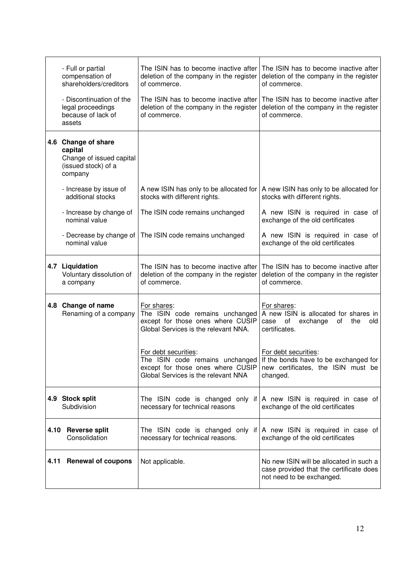| - Full or partial<br>compensation of<br>shareholders/creditors                               | The ISIN has to become inactive after<br>deletion of the company in the register<br>of commerce.                            | The ISIN has to become inactive after<br>deletion of the company in the register<br>of commerce.                                                |
|----------------------------------------------------------------------------------------------|-----------------------------------------------------------------------------------------------------------------------------|-------------------------------------------------------------------------------------------------------------------------------------------------|
| - Discontinuation of the<br>legal proceedings<br>because of lack of<br>assets                | The ISIN has to become inactive after<br>deletion of the company in the register<br>of commerce.                            | The ISIN has to become inactive after<br>deletion of the company in the register<br>of commerce.                                                |
| 4.6 Change of share<br>capital<br>Change of issued capital<br>(issued stock) of a<br>company |                                                                                                                             |                                                                                                                                                 |
| - Increase by issue of<br>additional stocks                                                  | A new ISIN has only to be allocated for<br>stocks with different rights.                                                    | A new ISIN has only to be allocated for<br>stocks with different rights.                                                                        |
| - Increase by change of<br>nominal value                                                     | The ISIN code remains unchanged                                                                                             | A new ISIN is required in case of<br>exchange of the old certificates                                                                           |
| - Decrease by change of<br>nominal value                                                     | The ISIN code remains unchanged                                                                                             | A new ISIN is required in case of<br>exchange of the old certificates                                                                           |
| 4.7 Liquidation<br>Voluntary dissolution of<br>a company                                     | The ISIN has to become inactive after<br>deletion of the company in the register<br>of commerce.                            | The ISIN has to become inactive after<br>deletion of the company in the register<br>of commerce.                                                |
| 4.8 Change of name<br>Renaming of a company                                                  | For shares:<br>The ISIN code remains unchanged<br>except for those ones where CUSIP<br>Global Services is the relevant NNA. | For shares:<br>A new ISIN is allocated for shares in<br>case<br>of<br>exchange<br>of<br>the<br>old<br>certificates.                             |
|                                                                                              | For debt securities:<br>except for those ones where CUSIP<br>Global Services is the relevant NNA                            | For debt securities:<br>The ISIN code remains unchanged If the bonds have to be exchanged for<br>new certificates, the ISIN must be<br>changed. |
| 4.9 Stock split<br>Subdivision                                                               | necessary for technical reasons                                                                                             | The ISIN code is changed only if $\overline{A}$ new ISIN is required in case of<br>exchange of the old certificates                             |
| 4.10 Reverse split<br>Consolidation                                                          | necessary for technical reasons.                                                                                            | The ISIN code is changed only if $\overline{A}$ new ISIN is required in case of<br>exchange of the old certificates                             |
| 4.11 Renewal of coupons                                                                      | Not applicable.                                                                                                             | No new ISIN will be allocated in such a<br>case provided that the certificate does<br>not need to be exchanged.                                 |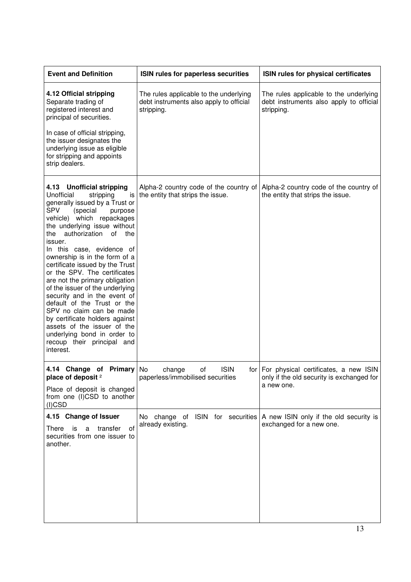| <b>Event and Definition</b>                                                                                                                                                                                                                                                                                                                                                                                                                                                                                                                                                                                                                                                             | ISIN rules for paperless securities                                                             | ISIN rules for physical certificates                                                                   |
|-----------------------------------------------------------------------------------------------------------------------------------------------------------------------------------------------------------------------------------------------------------------------------------------------------------------------------------------------------------------------------------------------------------------------------------------------------------------------------------------------------------------------------------------------------------------------------------------------------------------------------------------------------------------------------------------|-------------------------------------------------------------------------------------------------|--------------------------------------------------------------------------------------------------------|
| 4.12 Official stripping<br>Separate trading of<br>registered interest and<br>principal of securities.<br>In case of official stripping,<br>the issuer designates the<br>underlying issue as eligible<br>for stripping and appoints<br>strip dealers.                                                                                                                                                                                                                                                                                                                                                                                                                                    | The rules applicable to the underlying<br>debt instruments also apply to official<br>stripping. | The rules applicable to the underlying<br>debt instruments also apply to official<br>stripping.        |
| 4.13 Unofficial stripping<br>Unofficial<br>stripping<br>is<br>generally issued by a Trust or<br><b>SPV</b><br>(special<br>purpose<br>vehicle) which repackages<br>the underlying issue without<br>authorization<br>of the<br>the<br>issuer.<br>In this case, evidence of<br>ownership is in the form of a<br>certificate issued by the Trust<br>or the SPV. The certificates<br>are not the primary obligation<br>of the issuer of the underlying<br>security and in the event of<br>default of the Trust or the<br>SPV no claim can be made<br>by certificate holders against<br>assets of the issuer of the<br>underlying bond in order to<br>recoup their principal and<br>interest. | Alpha-2 country code of the country of<br>the entity that strips the issue.                     | Alpha-2 country code of the country of<br>the entity that strips the issue.                            |
| 4.14 Change of Primary No<br>place of deposit <sup>2</sup><br>Place of deposit is changed<br>from one (I)CSD to another<br>$(I)$ CSD                                                                                                                                                                                                                                                                                                                                                                                                                                                                                                                                                    | <b>ISIN</b><br>change<br>οf<br>paperless/immobilised securities                                 | for   For physical certificates, a new ISIN<br>only if the old security is exchanged for<br>a new one. |
| 4.15 Change of Issuer<br>There<br>transfer<br>is<br>οf<br>a<br>securities from one issuer to<br>another.                                                                                                                                                                                                                                                                                                                                                                                                                                                                                                                                                                                | No change of ISIN for securities   A new ISIN only if the old security is<br>already existing.  | exchanged for a new one.                                                                               |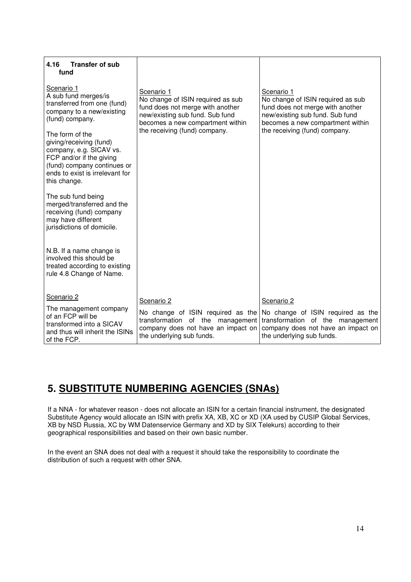| <b>Transfer of sub</b><br>4.16<br>fund                                                                                                                                              |                                                                                                                                                            |                                                                                                                                                            |
|-------------------------------------------------------------------------------------------------------------------------------------------------------------------------------------|------------------------------------------------------------------------------------------------------------------------------------------------------------|------------------------------------------------------------------------------------------------------------------------------------------------------------|
| Scenario 1<br>A sub fund merges/is<br>transferred from one (fund)<br>company to a new/existing<br>(fund) company.                                                                   | Scenario 1<br>No change of ISIN required as sub<br>fund does not merge with another<br>new/existing sub fund. Sub fund<br>becomes a new compartment within | Scenario 1<br>No change of ISIN required as sub<br>fund does not merge with another<br>new/existing sub fund. Sub fund<br>becomes a new compartment within |
| The form of the<br>giving/receiving (fund)<br>company, e.g. SICAV vs.<br>FCP and/or if the giving<br>(fund) company continues or<br>ends to exist is irrelevant for<br>this change. | the receiving (fund) company.                                                                                                                              | the receiving (fund) company.                                                                                                                              |
| The sub fund being<br>merged/transferred and the<br>receiving (fund) company<br>may have different<br>jurisdictions of domicile.                                                    |                                                                                                                                                            |                                                                                                                                                            |
| N.B. If a name change is<br>involved this should be<br>treated according to existing<br>rule 4.8 Change of Name.                                                                    |                                                                                                                                                            |                                                                                                                                                            |
| Scenario 2                                                                                                                                                                          | Scenario 2                                                                                                                                                 | Scenario 2                                                                                                                                                 |
| The management company<br>of an FCP will be<br>transformed into a SICAV<br>and thus will inherit the ISINs<br>of the FCP.                                                           | No change of ISIN required as the<br>transformation of the management<br>company does not have an impact on<br>the underlying sub funds.                   | No change of ISIN required as the<br>transformation of the management<br>company does not have an impact on<br>the underlying sub funds.                   |

# **5. SUBSTITUTE NUMBERING AGENCIES (SNAs)**

If a NNA - for whatever reason - does not allocate an ISIN for a certain financial instrument, the designated Substitute Agency would allocate an ISIN with prefix XA, XB, XC or XD (XA used by CUSIP Global Services, XB by NSD Russia, XC by WM Datenservice Germany and XD by SIX Telekurs) according to their geographical responsibilities and based on their own basic number.

In the event an SNA does not deal with a request it should take the responsibility to coordinate the distribution of such a request with other SNA.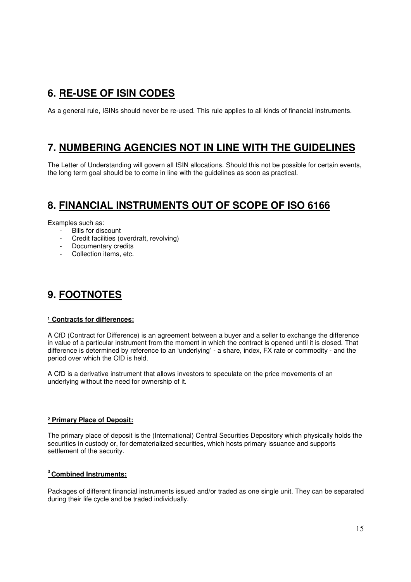## **6. RE-USE OF ISIN CODES**

As a general rule, ISINs should never be re-used. This rule applies to all kinds of financial instruments.

## **7. NUMBERING AGENCIES NOT IN LINE WITH THE GUIDELINES**

The Letter of Understanding will govern all ISIN allocations. Should this not be possible for certain events, the long term goal should be to come in line with the guidelines as soon as practical.

## **8. FINANCIAL INSTRUMENTS OUT OF SCOPE OF ISO 6166**

Examples such as:

- Bills for discount
- Credit facilities (overdraft, revolving)
- Documentary credits
- Collection items, etc.

## **9. FOOTNOTES**

### **¹ Contracts for differences:**

A CfD (Contract for Difference) is an agreement between a buyer and a seller to exchange the difference in value of a particular instrument from the moment in which the contract is opened until it is closed. That difference is determined by reference to an 'underlying' - a share, index, FX rate or commodity - and the period over which the CfD is held.

A CfD is a derivative instrument that allows investors to speculate on the price movements of an underlying without the need for ownership of it.

### **² Primary Place of Deposit:**

The primary place of deposit is the (International) Central Securities Depository which physically holds the securities in custody or, for dematerialized securities, which hosts primary issuance and supports settlement of the security.

### **<sup>3</sup>Combined Instruments:**

Packages of different financial instruments issued and/or traded as one single unit. They can be separated during their life cycle and be traded individually.